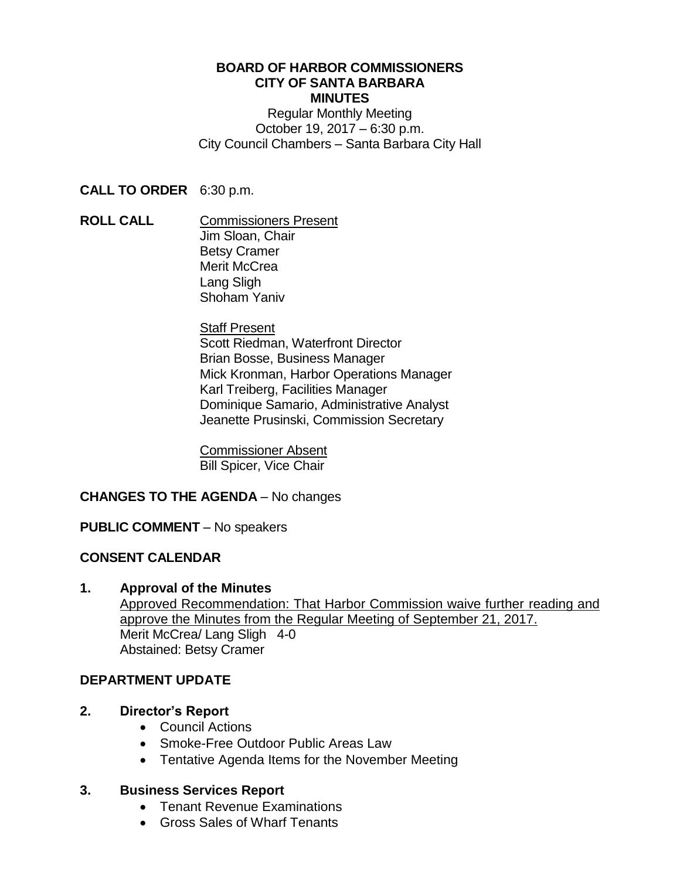#### **BOARD OF HARBOR COMMISSIONERS CITY OF SANTA BARBARA MINUTES**

Regular Monthly Meeting October 19, 2017 – 6:30 p.m. City Council Chambers – Santa Barbara City Hall

**CALL TO ORDER** 6:30 p.m.

**ROLL CALL COMMISSIONERS** Present Jim Sloan, Chair Betsy Cramer Merit McCrea Lang Sligh Shoham Yaniv

> **Staff Present** Scott Riedman, Waterfront Director Brian Bosse, Business Manager Mick Kronman, Harbor Operations Manager Karl Treiberg, Facilities Manager Dominique Samario, Administrative Analyst Jeanette Prusinski, Commission Secretary

Commissioner Absent Bill Spicer, Vice Chair

# **CHANGES TO THE AGENDA** – No changes

### **PUBLIC COMMENT** – No speakers

# **CONSENT CALENDAR**

### **1. Approval of the Minutes**

Approved Recommendation: That Harbor Commission waive further reading and approve the Minutes from the Regular Meeting of September 21, 2017. Merit McCrea/ Lang Sligh 4-0 Abstained: Betsy Cramer

### **DEPARTMENT UPDATE**

### **2. Director's Report**

- Council Actions
- Smoke-Free Outdoor Public Areas Law
- Tentative Agenda Items for the November Meeting

### **3. Business Services Report**

- Tenant Revenue Examinations
- Gross Sales of Wharf Tenants